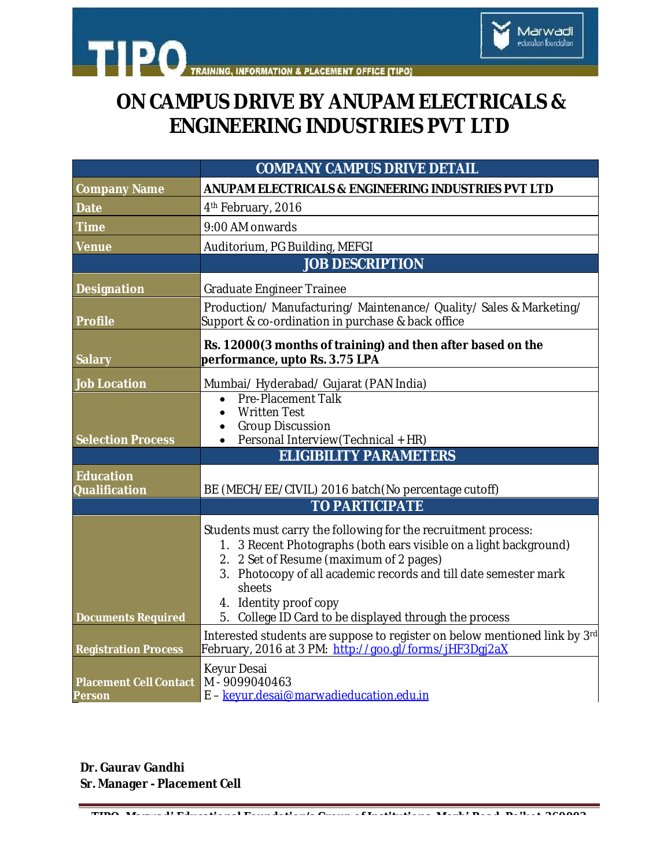

## **ON CAMPUS DRIVE BY ANUPAM ELECTRICALS & ENGINEERING INDUSTRIES PVT LTD**

Marwadi<br>education foundation

|                                                | <b>COMPANY CAMPUS DRIVE DETAIL</b>                                                                                                                                                                                                                                                                                                               |
|------------------------------------------------|--------------------------------------------------------------------------------------------------------------------------------------------------------------------------------------------------------------------------------------------------------------------------------------------------------------------------------------------------|
| <b>Company Name</b>                            | ANUPAM ELECTRICALS & ENGINEERING INDUSTRIES PVT LTD                                                                                                                                                                                                                                                                                              |
| <b>Date</b>                                    | 4 <sup>th</sup> February, 2016                                                                                                                                                                                                                                                                                                                   |
| <b>Time</b>                                    | 9:00 AM onwards                                                                                                                                                                                                                                                                                                                                  |
| <b>Venue</b>                                   | Auditorium, PG Building, MEFGI                                                                                                                                                                                                                                                                                                                   |
|                                                | <b>JOB DESCRIPTION</b>                                                                                                                                                                                                                                                                                                                           |
| <b>Designation</b>                             | <b>Graduate Engineer Trainee</b>                                                                                                                                                                                                                                                                                                                 |
| <b>Profile</b>                                 | Production/Manufacturing/Maintenance/Quality/Sales & Marketing/<br>Support & co-ordination in purchase & back office                                                                                                                                                                                                                             |
| <b>Salary</b>                                  | Rs. 12000(3 months of training) and then after based on the<br>performance, upto Rs. 3.75 LPA                                                                                                                                                                                                                                                    |
| <b>Job Location</b>                            | Mumbai/ Hyderabad/ Gujarat (PAN India)                                                                                                                                                                                                                                                                                                           |
| <b>Selection Process</b>                       | <b>Pre-Placement Talk</b><br>$\bullet$<br><b>Written Test</b><br>$\bullet$<br><b>Group Discussion</b><br>$\bullet$<br>Personal Interview (Technical + HR)<br>$\bullet$                                                                                                                                                                           |
|                                                | <b>ELIGIBILITY PARAMETERS</b>                                                                                                                                                                                                                                                                                                                    |
| <b>Education</b><br><b>Qualification</b>       | BE (MECH/EE/CIVIL) 2016 batch (No percentage cutoff)                                                                                                                                                                                                                                                                                             |
|                                                | <b>TO PARTICIPATE</b>                                                                                                                                                                                                                                                                                                                            |
| <b>Documents Required</b>                      | Students must carry the following for the recruitment process:<br>1. 3 Recent Photographs (both ears visible on a light background)<br>2. 2 Set of Resume (maximum of 2 pages)<br>3. Photocopy of all academic records and till date semester mark<br>sheets<br>4. Identity proof copy<br>5. College ID Card to be displayed through the process |
| <b>Registration Process</b>                    | Interested students are suppose to register on below mentioned link by 3rd<br>February, 2016 at 3 PM: http://goo.gl/forms/jHF3Dgj2aX                                                                                                                                                                                                             |
| <b>Placement Cell Contact</b><br><b>Person</b> | Keyur Desai<br>M - 9099040463<br>E - keyur.desai@marwadieducation.edu.in                                                                                                                                                                                                                                                                         |

**TIPO- Marwadi Educational Foundation's Group of Institutions, Morbi Road, Rajkot-360003** 

**Dr. Gaurav Gandhi Sr. Manager - Placement Cell**